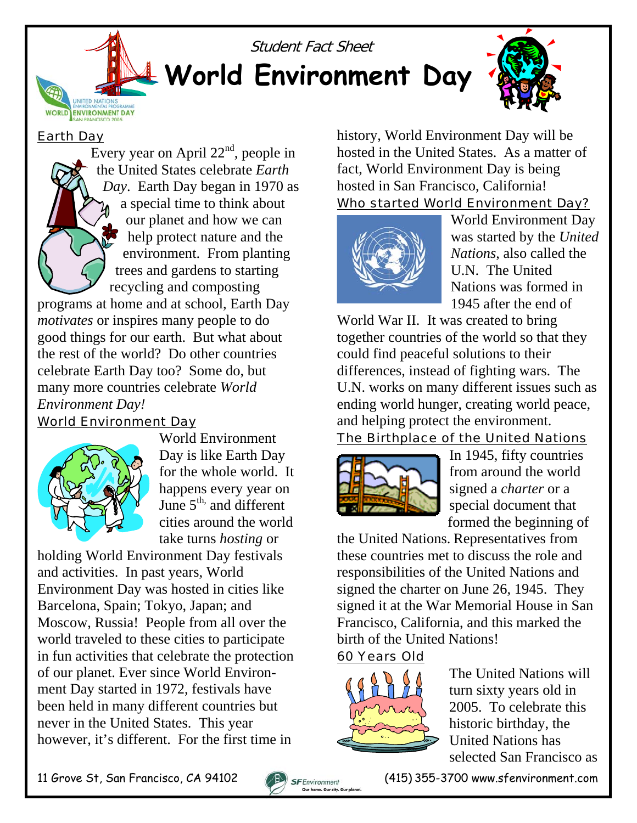**World Environment Day** 

Student Fact Sheet



#### Earth Day

**ITED NAT WORLD ENVIRONMENT DAY** 

Every year on April  $22<sup>nd</sup>$ , people in the United States celebrate *Earth Day*. Earth Day began in 1970 as a special time to think about our planet and how we can help protect nature and the environment. From planting trees and gardens to starting recycling and composting programs at home and at school, Earth Day

*motivates* or inspires many people to do good things for our earth. But what about the rest of the world? Do other countries celebrate Earth Day too? Some do, but many more countries celebrate *World Environment Day!*

## World Environment Day



World Environment Day is like Earth Day for the whole world. It happens every year on June  $5<sup>th</sup>$ , and different cities around the world take turns *hosting* or

holding World Environment Day festivals and activities. In past years, World Environment Day was hosted in cities like Barcelona, Spain; Tokyo, Japan; and Moscow, Russia! People from all over the world traveled to these cities to participate in fun activities that celebrate the protection of our planet. Ever since World Environment Day started in 1972, festivals have been held in many different countries but never in the United States. This year however, it's different. For the first time in

history, World Environment Day will be hosted in the United States. As a matter of fact, World Environment Day is being hosted in San Francisco, California!

#### Who started World Environment Day?



World Environment Day was started by the *United Nations*, also called the U.N. The United Nations was formed in 1945 after the end of

World War II. It was created to bring together countries of the world so that they could find peaceful solutions to their differences, instead of fighting wars. The U.N. works on many different issues such as ending world hunger, creating world peace, and helping protect the environment.

## The Birthplace of the United Nations



In 1945, fifty countries from around the world signed a *charter* or a special document that formed the beginning of

the United Nations. Representatives from these countries met to discuss the role and responsibilities of the United Nations and signed the charter on June 26, 1945. They signed it at the War Memorial House in San Francisco, California, and this marked the birth of the United Nations!

# 60 Years Old



The United Nations will turn sixty years old in 2005. To celebrate this historic birthday, the United Nations has selected San Francisco as



11 Grove St, San Francisco, CA 94102 (415) 355-3700 www.sfenvironment.com